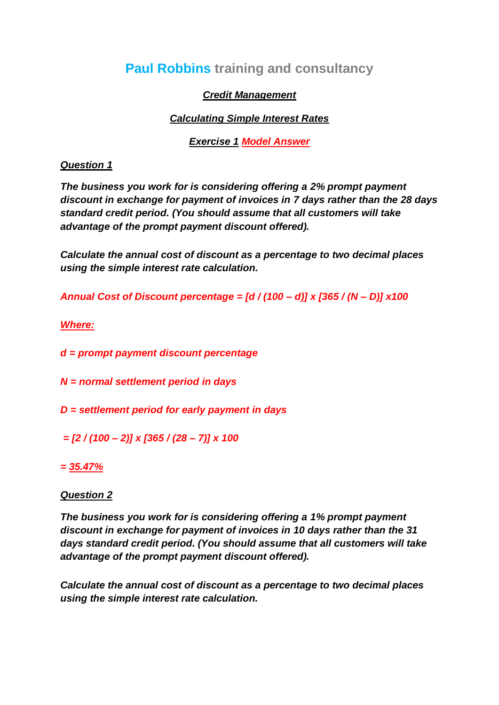# **Paul Robbins training and consultancy**

# *Credit Management*

# *Calculating Simple Interest Rates*

*Exercise 1 Model Answer*

## *Question 1*

*The business you work for is considering offering a 2% prompt payment discount in exchange for payment of invoices in 7 days rather than the 28 days standard credit period. (You should assume that all customers will take advantage of the prompt payment discount offered).*

*Calculate the annual cost of discount as a percentage to two decimal places using the simple interest rate calculation.*

*Annual Cost of Discount percentage = [d / (100 – d)] x [365 / (N – D)] x100*

*Where:*

*d = prompt payment discount percentage*

*N = normal settlement period in days*

*D = settlement period for early payment in days*

*= [2 / (100 – 2)] x [365 / (28 – 7)] x 100*

*= 35.47%*

## *Question 2*

*The business you work for is considering offering a 1% prompt payment discount in exchange for payment of invoices in 10 days rather than the 31 days standard credit period. (You should assume that all customers will take advantage of the prompt payment discount offered).*

*Calculate the annual cost of discount as a percentage to two decimal places using the simple interest rate calculation.*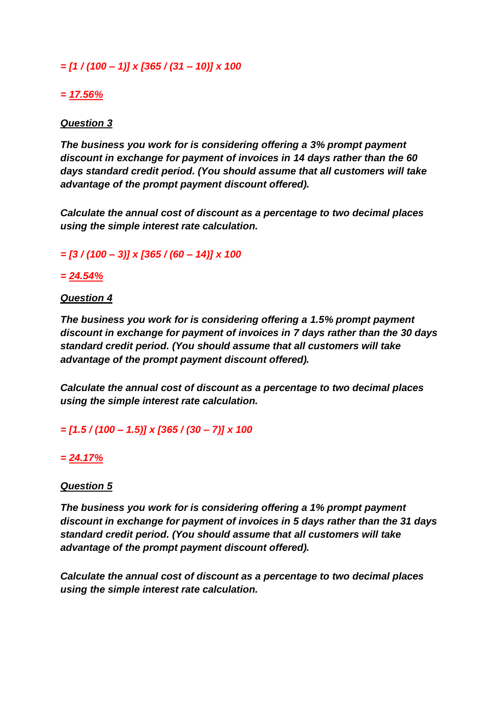*= [1 / (100 – 1)] x [365 / (31 – 10)] x 100*

# *= 17.56%*

## *Question 3*

*The business you work for is considering offering a 3% prompt payment discount in exchange for payment of invoices in 14 days rather than the 60 days standard credit period. (You should assume that all customers will take advantage of the prompt payment discount offered).*

*Calculate the annual cost of discount as a percentage to two decimal places using the simple interest rate calculation.*

*= [3 / (100 – 3)] x [365 / (60 – 14)] x 100*

#### *= 24.54%*

#### *Question 4*

*The business you work for is considering offering a 1.5% prompt payment discount in exchange for payment of invoices in 7 days rather than the 30 days standard credit period. (You should assume that all customers will take advantage of the prompt payment discount offered).*

*Calculate the annual cost of discount as a percentage to two decimal places using the simple interest rate calculation.*

*= [1.5 / (100 – 1.5)] x [365 / (30 – 7)] x 100*

## *= 24.17%*

#### *Question 5*

*The business you work for is considering offering a 1% prompt payment discount in exchange for payment of invoices in 5 days rather than the 31 days standard credit period. (You should assume that all customers will take advantage of the prompt payment discount offered).*

*Calculate the annual cost of discount as a percentage to two decimal places using the simple interest rate calculation.*